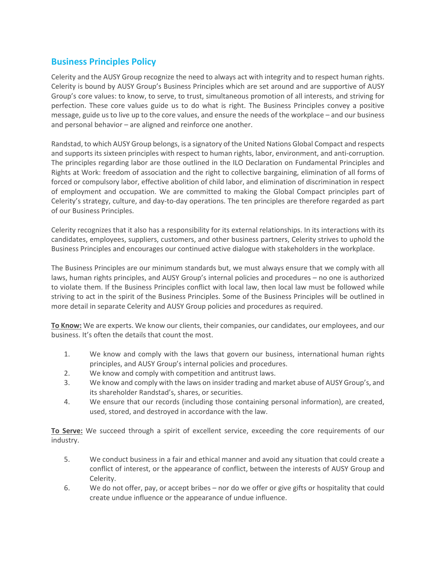## **Business Principles Policy**

Celerity and the AUSY Group recognize the need to always act with integrity and to respect human rights. Celerity is bound by AUSY Group's Business Principles which are set around and are supportive of AUSY Group's core values: to know, to serve, to trust, simultaneous promotion of all interests, and striving for perfection. These core values guide us to do what is right. The Business Principles convey a positive message, guide us to live up to the core values, and ensure the needs of the workplace – and our business and personal behavior – are aligned and reinforce one another.

Randstad, to which AUSY Group belongs, is a signatory of the United Nations Global Compact and respects and supports its sixteen principles with respect to human rights, labor, environment, and anti-corruption. The principles regarding labor are those outlined in the ILO Declaration on Fundamental Principles and Rights at Work: freedom of association and the right to collective bargaining, elimination of all forms of forced or compulsory labor, effective abolition of child labor, and elimination of discrimination in respect of employment and occupation. We are committed to making the Global Compact principles part of Celerity's strategy, culture, and day-to-day operations. The ten principles are therefore regarded as part of our Business Principles.

Celerity recognizes that it also has a responsibility for its external relationships. In its interactions with its candidates, employees, suppliers, customers, and other business partners, Celerity strives to uphold the Business Principles and encourages our continued active dialogue with stakeholders in the workplace.

The Business Principles are our minimum standards but, we must always ensure that we comply with all laws, human rights principles, and AUSY Group's internal policies and procedures – no one is authorized to violate them. If the Business Principles conflict with local law, then local law must be followed while striving to act in the spirit of the Business Principles. Some of the Business Principles will be outlined in more detail in separate Celerity and AUSY Group policies and procedures as required.

**To Know:** We are experts. We know our clients, their companies, our candidates, our employees, and our business. It's often the details that count the most.

- 1. We know and comply with the laws that govern our business, international human rights principles, and AUSY Group's internal policies and procedures.
- 2. We know and comply with competition and antitrust laws.
- 3. We know and comply with the laws on insider trading and market abuse of AUSY Group's, and its shareholder Randstad's, shares, or securities.
- 4. We ensure that our records (including those containing personal information), are created, used, stored, and destroyed in accordance with the law.

**To Serve:** We succeed through a spirit of excellent service, exceeding the core requirements of our industry.

- 5. We conduct business in a fair and ethical manner and avoid any situation that could create a conflict of interest, or the appearance of conflict, between the interests of AUSY Group and Celerity.
- 6. We do not offer, pay, or accept bribes nor do we offer or give gifts or hospitality that could create undue influence or the appearance of undue influence.